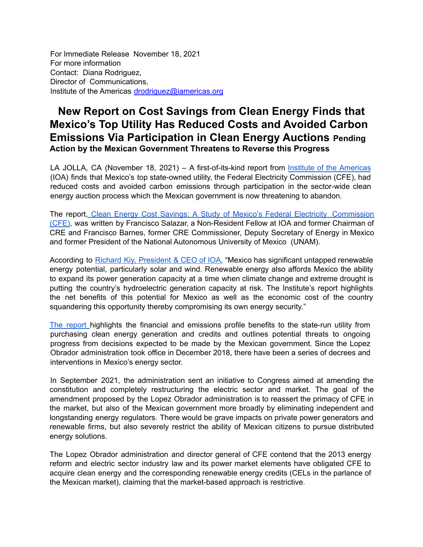For Immediate Release November 18, 2021 For more information Contact: Diana Rodriguez, Director of Communications, Institute of the Americas drodriguez@iamericas.org

## **New Report on Cost Savings from Clean Energy Finds that Mexico's Top Utility Has Reduced Costs and Avoided Carbon Emissions Via Participation in Clean Energy Auctions Pending Action by the Mexican Government Threatens to Reverse this Progress**

LA JOLLA, CA (November 18, 2021) – A first-of-its-kind report from Institute of the [Americas](https://iamericas.org/) (IOA) finds that Mexico's top state-owned utility, the Federal Electricity Commission (CFE), had reduced costs and avoided carbon emissions through participation in the sector-wide clean energy auction process which the Mexican government is now threatening to abandon.

The report, Clean Energy Cost Savings: A Study of Mexico's Federal Electricity [Commission](https://iamericas.org/clean-energy-cost-savings-a-study-of-mexicos-federal-electricity-commission-cfe/) [\(CFE\)](https://iamericas.org/clean-energy-cost-savings-a-study-of-mexicos-federal-electricity-commission-cfe/), was written by Francisco Salazar, a Non-Resident Fellow at IOA and former Chairman of CRE and Francisco Barnes, former CRE Commissioner, Deputy Secretary of Energy in Mexico and former President of the National Autonomous University of Mexico (UNAM).

According to Richard Kiy, [President](https://iamericas.org/our-team/) & CEO of IOA, "Mexico has significant untapped renewable energy potential, particularly solar and wind. Renewable energy also affords Mexico the ability to expand its power generation capacity at a time when climate change and extreme drought is putting the country's hydroelectric generation capacity at risk. The Institute's report highlights the net benefits of this potential for Mexico as well as the economic cost of the country squandering this opportunity thereby compromising its own energy security."

The [report](https://iamericas.org/clean-energy-cost-savings-a-study-of-mexicos-federal-electricity-commission-cfe/) highlights the financial and emissions profile benefits to the state-run utility from purchasing clean energy generation and credits and outlines potential threats to ongoing progress from decisions expected to be made by the Mexican government. Since the Lopez Obrador administration took office in December 2018, there have been a series of decrees and interventions in Mexico's energy sector.

In September 2021, the administration sent an initiative to Congress aimed at amending the constitution and completely restructuring the electric sector and market. The goal of the amendment proposed by the Lopez Obrador administration is to reassert the primacy of CFE in the market, but also of the Mexican government more broadly by eliminating independent and longstanding energy regulators. There would be grave impacts on private power generators and renewable firms, but also severely restrict the ability of Mexican citizens to pursue distributed energy solutions.

The Lopez Obrador administration and director general of CFE contend that the 2013 energy reform and electric sector industry law and its power market elements have obligated CFE to acquire clean energy and the corresponding renewable energy credits (CELs in the parlance of the Mexican market), claiming that the market-based approach is restrictive.